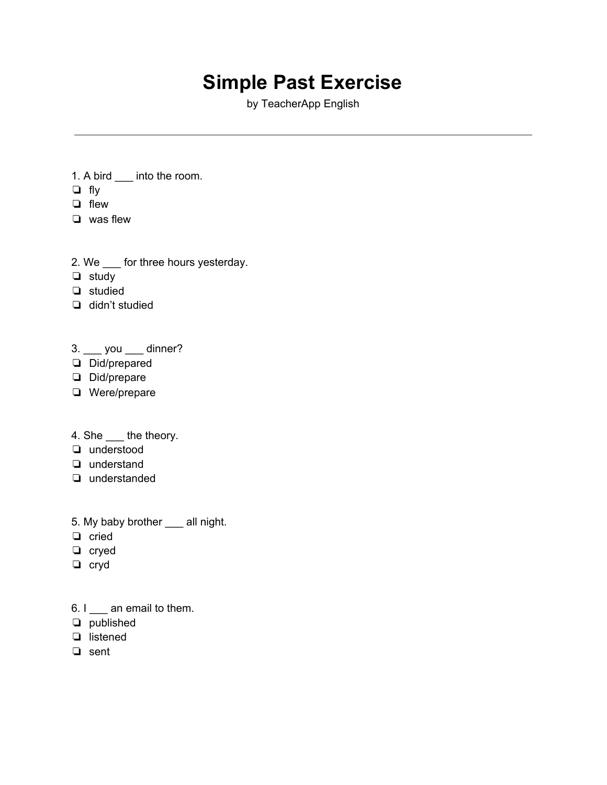# **Simple Past Exercise**

by TeacherApp English

- 1. A bird \_\_\_\_ into the room.
- ❏ fly
- ❏ flew
- ❏ was flew
- 2. We \_\_\_ for three hours yesterday.
- ❏ study
- ❏ studied
- ❏ didn't studied
- 3. \_\_\_ you \_\_\_ dinner?
- ❏ Did/prepared
- ❏ Did/prepare
- ❏ Were/prepare

### 4. She \_\_\_ the theory.

- ❏ understood
- ❏ understand
- ❏ understanded
- 5. My baby brother \_\_\_ all night.
- ❏ cried
- ❏ cryed
- ❏ cryd
- 6. I \_\_\_ an email to them.
- ❏ published
- ❏ listened
- ❏ sent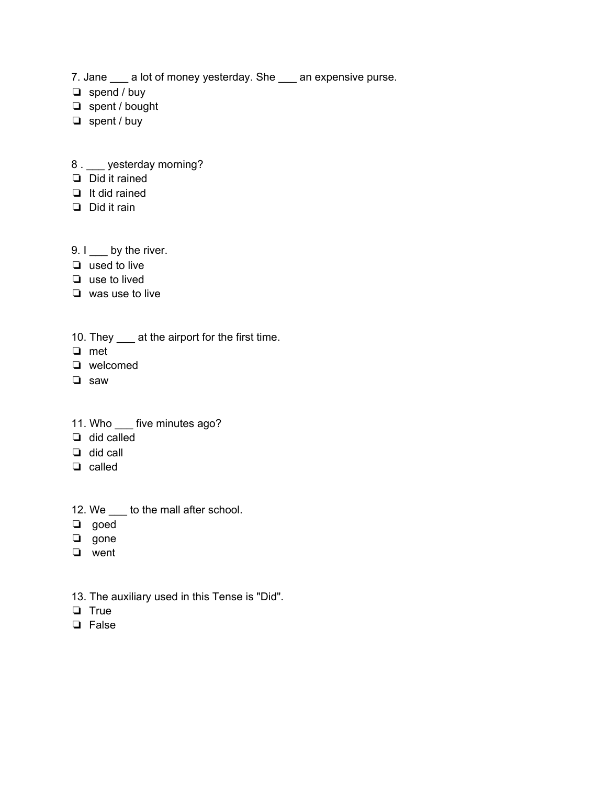7. Jane \_\_\_ a lot of money yesterday. She \_\_\_ an expensive purse.

- ❏ spend / buy
- ❏ spent / bought
- ❏ spent / buy

#### 8 . \_\_\_ yesterday morning?

- ❏ Did it rained
- ❏ It did rained
- ❏ Did it rain
- 9. I by the river.
- ❏ used to live
- ❏ use to lived
- ❏ was use to live
- 10. They \_\_\_ at the airport for the first time.
- ❏ met
- ❏ welcomed
- ❏ saw
- 11. Who \_\_\_ five minutes ago?
- ❏ did called
- ❏ did call
- ❏ called
- 12. We \_\_\_\_ to the mall after school.
- ❏ goed
- ❏ gone
- ❏ went
- 13. The auxiliary used in this Tense is "Did".
- ❏ True
- ❏ False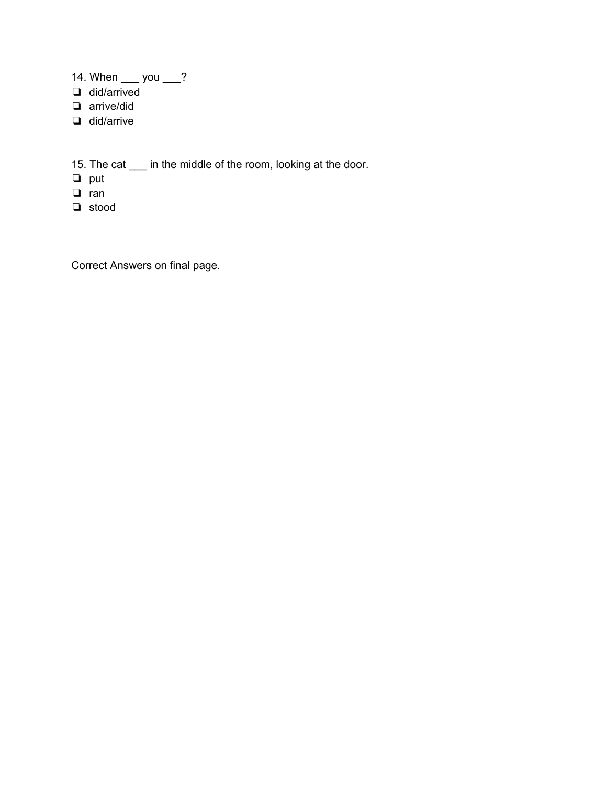14. When \_\_\_ you \_\_\_?

- ❏ did/arrived
- ❏ arrive/did
- ❏ did/arrive

15. The cat \_\_\_ in the middle of the room, looking at the door.

- ❏ put
- ❏ ran
- ❏ stood

Correct Answers on final page.